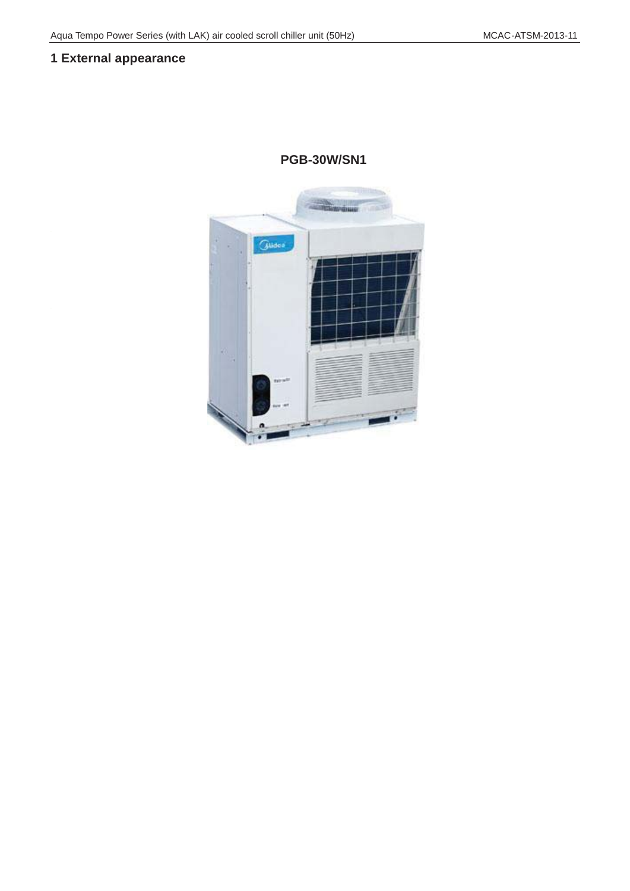## **1 External appearance**

**PGS-35W/RN1L**

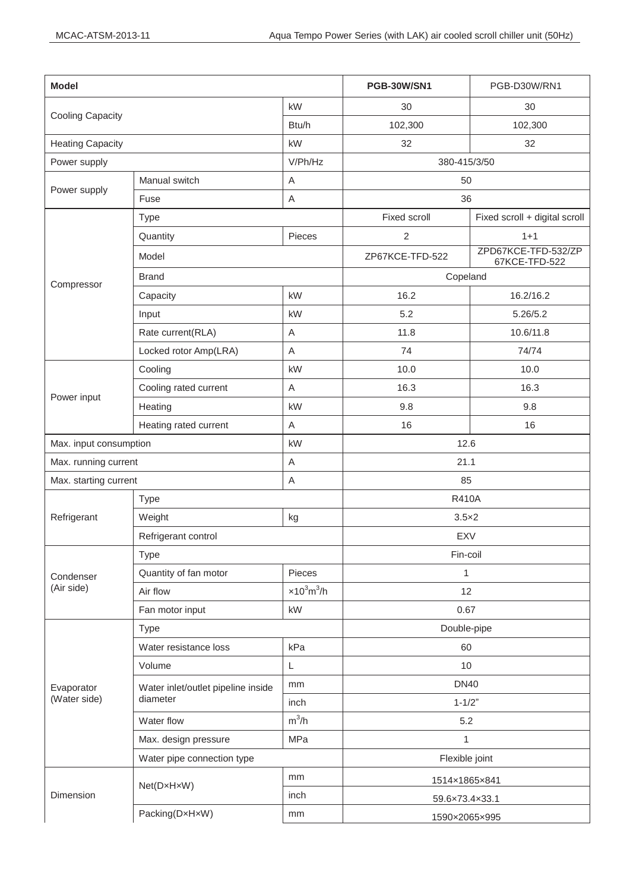| <b>Model</b>               |                                                       |                                 | PGS-35W/RN1L           |
|----------------------------|-------------------------------------------------------|---------------------------------|------------------------|
| <b>Cooling Capacity</b>    |                                                       | kW                              | 35                     |
| <b>Heating Capacity</b>    |                                                       | kW                              | 37                     |
| Power input                | Cooling                                               | kW                              | 11.5                   |
|                            | Cooling rated current                                 | A                               | 19.0                   |
|                            | Heating                                               | kW                              | 11.3                   |
|                            | Heating rated current                                 | A                               | 20.0                   |
| <b>EER</b>                 |                                                       | kW / kW                         | 3.04                   |
| COP                        |                                                       | kW / kW                         | 3.27                   |
| Power supply               |                                                       | V/Ph/Hz                         | 380-415/3/50           |
| Power supply               | Manual switch                                         | Α                               | 50                     |
|                            | Fuse                                                  | A                               | 36                     |
| Max. Input consumption     |                                                       | kW                              | 14                     |
| Rated current              |                                                       | A                               | 27                     |
| Max. starting current      |                                                       | A                               | 177                    |
| Compressor                 | <b>Type</b>                                           |                                 | Scroll (fixed speed)   |
|                            | <b>Brand</b>                                          |                                 | Danfoss                |
|                            | Model                                                 |                                 | SH140A4ALC             |
|                            | Quantity                                              | Piece                           | 1                      |
|                            | Capacity                                              | kW                              | 36.8                   |
|                            | Input                                                 | kW                              | 11.3                   |
|                            | Rate load Amps.(RLA)                                  | Α                               | 21.4                   |
|                            | Locked rotor Amp(LRA)                                 | Α                               | 147                    |
|                            | Refrigerant oil                                       | ml                              | 3300                   |
| Refrigerant                | Type                                                  |                                 | <b>R410A</b>           |
|                            | Refrigerant control                                   |                                 | EXV+ capillary         |
|                            | Weight                                                | kg                              | 5.4                    |
| Condenser<br>(Air side)    | <b>Type</b>                                           |                                 | Fin-coil               |
|                            | Number of rows                                        |                                 | $\overline{2}$         |
|                            | Fan motor model                                       |                                 | YDK550-6E              |
|                            | Quantity of fan motor                                 | Pieces                          | $\mathbf{1}$           |
|                            | Air flow                                              | $\times 10^3$ m <sup>3</sup> /h | 13.5                   |
|                            | Fan motor rated current                               | A                               | 3.7                    |
|                            | Fan motor input                                       | kW                              | 0.8                    |
| Evaporator<br>(Water side) | <b>Type</b>                                           |                                 | Double-pipe            |
|                            | Water pressure drop                                   | kPa                             | 55                     |
|                            | Volume                                                | L                               | $10$                   |
|                            | Water inlet/outlet pipeline<br>inside normal diameter | mm                              | <b>DN40</b>            |
|                            | Water flow                                            | $m^3/h$                         | 6                      |
|                            | Max. design pressure                                  | MPa                             | 1                      |
|                            | Water pipe connection type                            |                                 | Flexible joint(Flange) |
| Dimension                  | Net(D×H×W)                                            | mm                              | 1020×1770×980          |
|                            | Packing size(D×H×W)                                   | mm                              | 1070×1900×1030         |